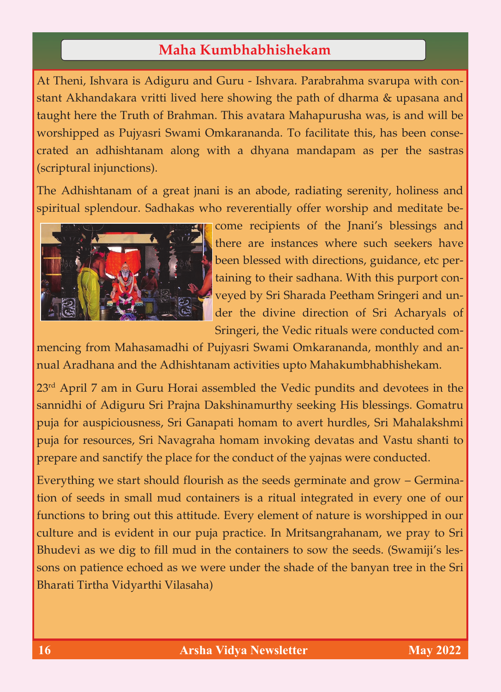## Maha Kumbhabhishekam **Maha Kumbhabhishekam**

At Theni, Ishvara is Adiguru and Guru - Ishvara. Parabrahma svarupa with constant Akhandakara vritti lived here showing the path of dharma & upasana and taught here the Truth of Brahman. This avatara Mahapurusha was, is and will be worshipped as Pujyasri Swami Omkarananda. To facilitate this, has been consecrated an adhishtanam along with a dhyana mandapam as per the sastras (scriptural injunctions).

The Adhishtanam of a great jnani is an abode, radiating serenity, holiness and spiritual splendour. Sadhakas who reverentially offer worship and meditate be-



come recipients of the Jnani's blessings and there are instances where such seekers have been blessed with directions, guidance, etc pertaining to their sadhana. With this purport conveyed by Sri Sharada Peetham Sringeri and under the divine direction of Sri Acharyals of Sringeri, the Vedic rituals were conducted com-

mencing from Mahasamadhi of Pujyasri Swami Omkarananda, monthly and annual Aradhana and the Adhishtanam activities upto Mahakumbhabhishekam.

23<sup>rd</sup> April 7 am in Guru Horai assembled the Vedic pundits and devotees in the sannidhi of Adiguru Sri Prajna Dakshinamurthy seeking His blessings. Gomatru puja for auspiciousness, Sri Ganapati homam to avert hurdles, Sri Mahalakshmi puja for resources, Sri Navagraha homam invoking devatas and Vastu shanti to prepare and sanctify the place for the conduct of the yajnas were conducted.

Everything we start should flourish as the seeds germinate and grow – Germination of seeds in small mud containers is a ritual integrated in every one of our functions to bring out this attitude. Every element of nature is worshipped in our culture and is evident in our puja practice. In Mritsangrahanam, we pray to Sri Bhudevi as we dig to fill mud in the containers to sow the seeds. (Swamiji's lessons on patience echoed as we were under the shade of the banyan tree in the Sri Bharati Tirtha Vidyarthi Vilasaha)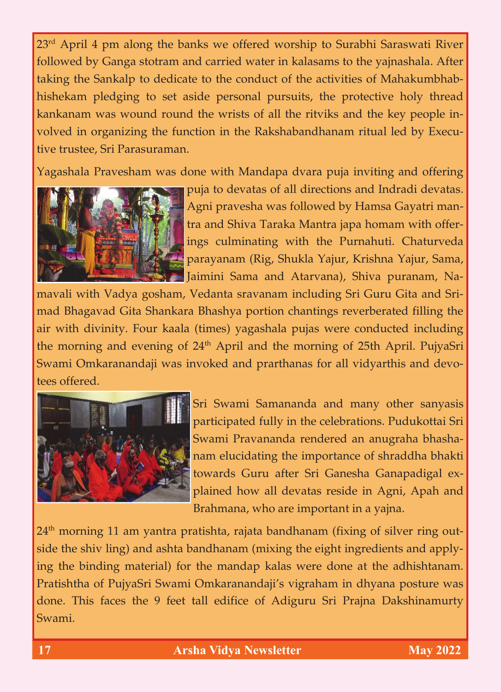23<sup>rd</sup> April 4 pm along the banks we offered worship to Surabhi Saraswati River followed by Ganga stotram and carried water in kalasams to the yajnashala. After taking the Sankalp to dedicate to the conduct of the activities of Mahakumbhabhishekam pledging to set aside personal pursuits, the protective holy thread kankanam was wound round the wrists of all the ritviks and the key people involved in organizing the function in the Rakshabandhanam ritual led by Executive trustee, Sri Parasuraman.

Yagashala Pravesham was done with Mandapa dvara puja inviting and offering



puja to devatas of all directions and Indradi devatas. Agni pravesha was followed by Hamsa Gayatri mantra and Shiva Taraka Mantra japa homam with offerings culminating with the Purnahuti. Chaturveda parayanam (Rig, Shukla Yajur, Krishna Yajur, Sama, Jaimini Sama and Atarvana), Shiva puranam, Na-

mavali with Vadya gosham, Vedanta sravanam including Sri Guru Gita and Srimad Bhagavad Gita Shankara Bhashya portion chantings reverberated filling the air with divinity. Four kaala (times) yagashala pujas were conducted including the morning and evening of 24<sup>th</sup> April and the morning of 25th April. PujyaSri Swami Omkaranandaji was invoked and prarthanas for all vidyarthis and devotees offered.



Sri Swami Samananda and many other sanyasis participated fully in the celebrations. Pudukottai Sri Swami Pravananda rendered an anugraha bhashanam elucidating the importance of shraddha bhakti towards Guru after Sri Ganesha Ganapadigal explained how all devatas reside in Agni, Apah and Brahmana, who are important in a yajna.

 $24<sup>th</sup>$  morning 11 am yantra pratishta, rajata bandhanam (fixing of silver ring outside the shiv ling) and ashta bandhanam (mixing the eight ingredients and applying the binding material) for the mandap kalas were done at the adhishtanam. Pratishtha of PujyaSri Swami Omkaranandaji's vigraham in dhyana posture was done. This faces the 9 feet tall edifice of Adiguru Sri Prajna Dakshinamurty Swami.